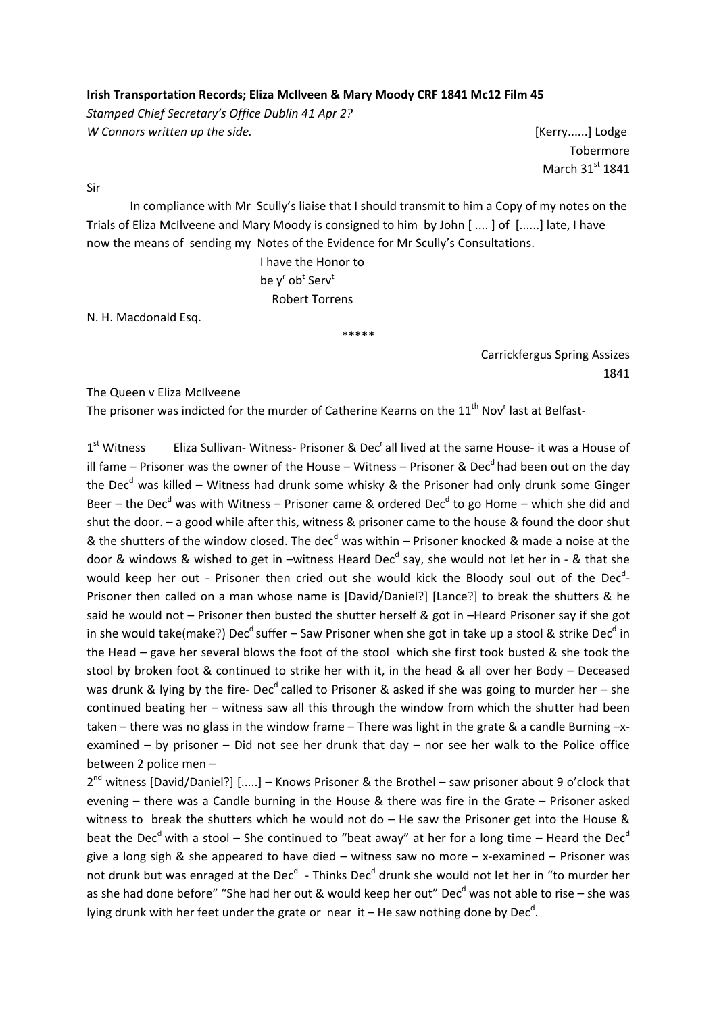### **Irish Transportation Records; Eliza McIlveen & Mary Moody CRF 1841 Mc12 Film 45**

*Stamped Chief Secretary's Office Dublin 41 Apr 2? W Connors written up the side.* [Kerry......] Lodge

Tobermore March  $31<sup>st</sup> 1841$ 

Sir

In compliance with Mr Scully's liaise that I should transmit to him a Copy of my notes on the Trials of Eliza McIlveene and Mary Moody is consigned to him by John [ .... ] of [......] late, I have now the means of sending my Notes of the Evidence for Mr Scully's Consultations.

\*\*\*\*\*

 I have the Honor to  $\mathsf{b}\mathsf{e}\;\mathsf{y}^{\mathsf{r}}\;\mathsf{o}\mathsf{b}^{\mathsf{t}}\;\mathsf{S}\mathsf{e}\mathsf{r}\mathsf{v}^{\mathsf{t}}$ Robert Torrens

N. H. Macdonald Esq.

Carrickfergus Spring Assizes 1841

The Queen v Eliza McIlveene

The prisoner was indicted for the murder of Catherine Kearns on the  $11^{\text{th}}$  Nov<sup>r</sup> last at Belfast-

 $1<sup>st</sup>$  Witness Eliza Sullivan-Witness-Prisoner & Dec'all lived at the same House-it was a House of ill fame – Prisoner was the owner of the House – Witness – Prisoner & Dec<sup>d</sup> had been out on the day the Dec<sup>d</sup> was killed – Witness had drunk some whisky & the Prisoner had only drunk some Ginger Beer – the Dec<sup>d</sup> was with Witness – Prisoner came & ordered Dec<sup>d</sup> to go Home – which she did and shut the door. – a good while after this, witness & prisoner came to the house & found the door shut & the shutters of the window closed. The dec<sup>d</sup> was within – Prisoner knocked & made a noise at the door & windows & wished to get in –witness Heard Dec<sup>d</sup> say, she would not let her in - & that she would keep her out - Prisoner then cried out she would kick the Bloody soul out of the Dec<sup>d</sup>-Prisoner then called on a man whose name is [David/Daniel?] [Lance?] to break the shutters & he said he would not – Prisoner then busted the shutter herself & got in –Heard Prisoner say if she got in she would take(make?) Dec<sup>d</sup> suffer – Saw Prisoner when she got in take up a stool & strike Dec<sup>d</sup> in the Head – gave her several blows the foot of the stool which she first took busted & she took the stool by broken foot & continued to strike her with it, in the head & all over her Body – Deceased was drunk & lying by the fire- Dec<sup>d</sup> called to Prisoner & asked if she was going to murder her – she continued beating her – witness saw all this through the window from which the shutter had been taken – there was no glass in the window frame – There was light in the grate & a candle Burning -xexamined – by prisoner – Did not see her drunk that day – nor see her walk to the Police office between 2 police men –

 $2^{nd}$  witness [David/Daniel?] [.....] – Knows Prisoner & the Brothel – saw prisoner about 9 o'clock that evening – there was a Candle burning in the House & there was fire in the Grate – Prisoner asked witness to break the shutters which he would not do  $-$  He saw the Prisoner get into the House & beat the Dec<sup>d</sup> with a stool – She continued to "beat away" at her for a long time – Heard the Dec<sup>d</sup> give a long sigh & she appeared to have died – witness saw no more – x-examined – Prisoner was not drunk but was enraged at the Dec<sup>d</sup> - Thinks Dec<sup>d</sup> drunk she would not let her in "to murder her as she had done before" "She had her out & would keep her out" Dec<sup>d</sup> was not able to rise – she was lying drunk with her feet under the grate or near it – He saw nothing done by Dec<sup>d</sup>.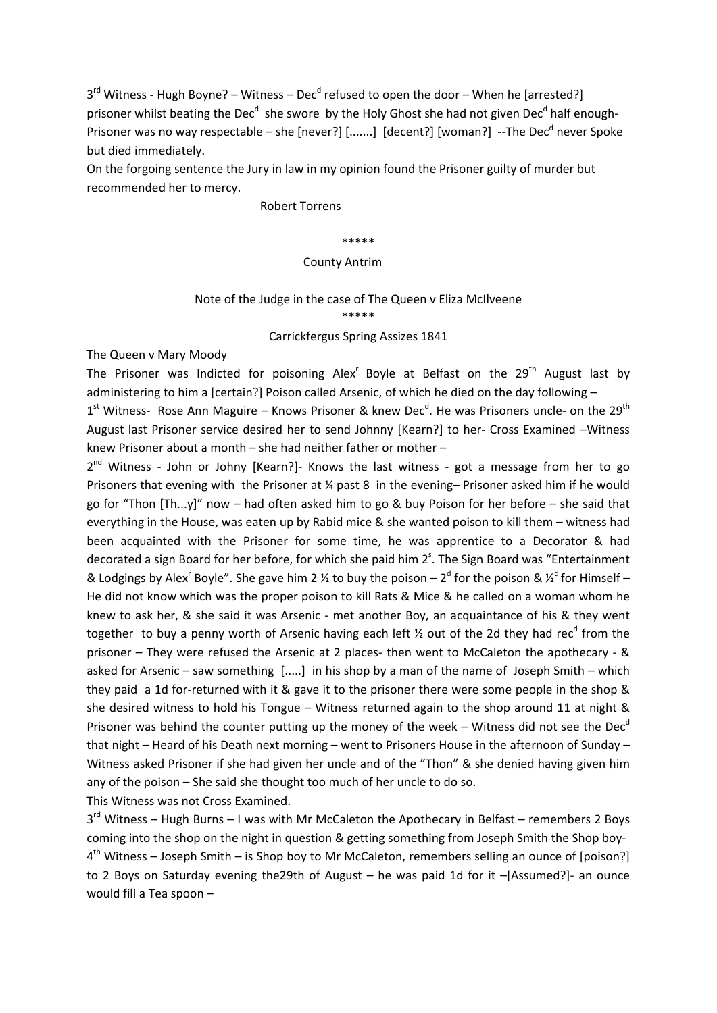$3<sup>rd</sup>$  Witness - Hugh Boyne? – Witness – Dec<sup>d</sup> refused to open the door – When he [arrested?] prisoner whilst beating the Dec<sup>d</sup> she swore by the Holy Ghost she had not given Dec<sup>d</sup> half enough-Prisoner was no way respectable – she [never?] [.......] [decent?] [woman?] --The Dec<sup>d</sup> never Spoke but died immediately.

On the forgoing sentence the Jury in law in my opinion found the Prisoner guilty of murder but recommended her to mercy.

#### Robert Torrens

#### \*\*\*\*\*

#### County Antrim

# Note of the Judge in the case of The Queen v Eliza McIlveene \*\*\*\*\*

#### Carrickfergus Spring Assizes 1841

The Queen v Mary Moody

The Prisoner was Indicted for poisoning Alex<sup>r</sup> Boyle at Belfast on the  $29<sup>th</sup>$  August last by administering to him a [certain?] Poison called Arsenic, of which he died on the day following -

 $1<sup>st</sup>$  Witness- Rose Ann Maguire – Knows Prisoner & knew Dec<sup>d</sup>. He was Prisoners uncle- on the 29<sup>th</sup> August last Prisoner service desired her to send Johnny [Kearn?] to her‐ Cross Examined –Witness knew Prisoner about a month – she had neither father or mother –

 $2^{nd}$  Witness - John or Johny [Kearn?] Knows the last witness - got a message from her to go Prisoners that evening with the Prisoner at ¼ past 8 in the evening– Prisoner asked him if he would go for "Thon [Th...y]" now – had often asked him to go & buy Poison for her before – she said that everything in the House, was eaten up by Rabid mice & she wanted poison to kill them – witness had been acquainted with the Prisoner for some time, he was apprentice to a Decorator & had decorated a sign Board for her before, for which she paid him 2<sup>s</sup>. The Sign Board was "Entertainment & Lodgings by Alex<sup>r</sup> Boyle". She gave him 2 % to buy the poison – 2<sup>d</sup> for the poison &  $\chi^d$  for Himself – He did not know which was the proper poison to kill Rats & Mice & he called on a woman whom he knew to ask her, & she said it was Arsenic - met another Boy, an acquaintance of his & they went together to buy a penny worth of Arsenic having each left  $\frac{1}{2}$  out of the 2d they had rec<sup>d</sup> from the prisoner – They were refused the Arsenic at 2 places‐ then went to McCaleton the apothecary ‐ & asked for Arsenic – saw something [.....] in his shop by a man of the name of Joseph Smith – which they paid a 1d for-returned with it & gave it to the prisoner there were some people in the shop & she desired witness to hold his Tongue – Witness returned again to the shop around 11 at night & Prisoner was behind the counter putting up the money of the week – Witness did not see the Dec<sup>d</sup> that night – Heard of his Death next morning – went to Prisoners House in the afternoon of Sunday – Witness asked Prisoner if she had given her uncle and of the "Thon" & she denied having given him any of the poison – She said she thought too much of her uncle to do so.

This Witness was not Cross Examined.

 $3<sup>rd</sup>$  Witness – Hugh Burns – I was with Mr McCaleton the Apothecary in Belfast – remembers 2 Boys coming into the shop on the night in question & getting something from Joseph Smith the Shop boy‐  $4<sup>th</sup>$  Witness – Joseph Smith – is Shop boy to Mr McCaleton, remembers selling an ounce of [poison?] to 2 Boys on Saturday evening the 29th of August – he was paid 1d for it –[Assumed?] an ounce would fill a Tea spoon –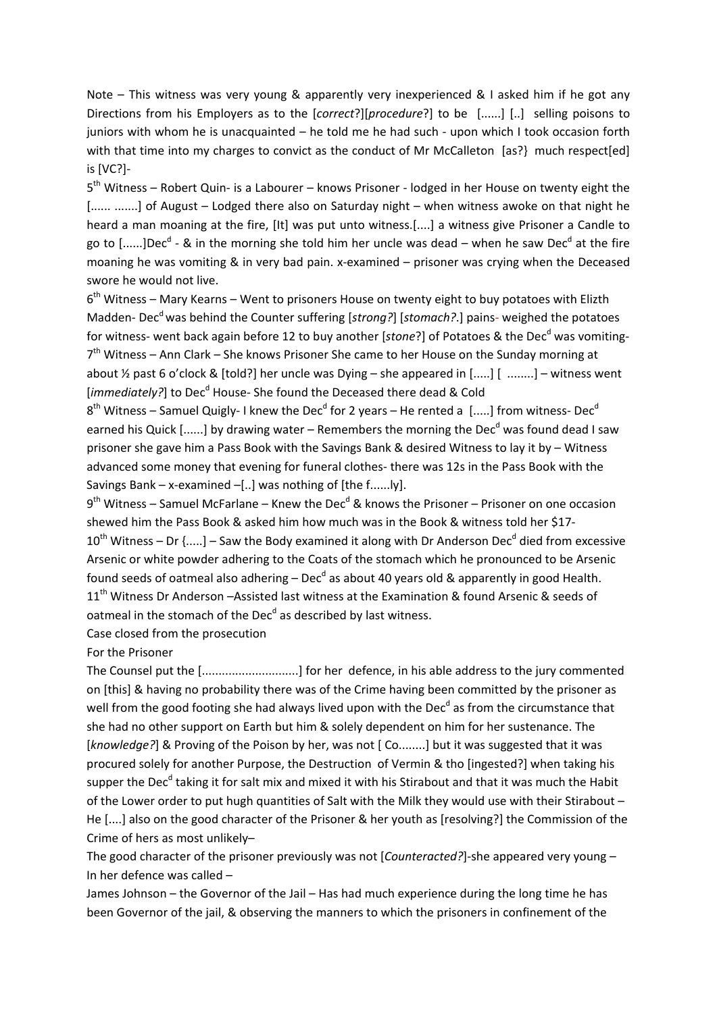Note – This witness was very young & apparently very inexperienced & I asked him if he got any Directions from his Employers as to the [*correct*?][*procedure*?] to be [......] [..] selling poisons to juniors with whom he is unacquainted – he told me he had such ‐ upon which I took occasion forth with that time into my charges to convict as the conduct of Mr McCalleton [as?} much respect[ed] is [VC?]‐

5<sup>th</sup> Witness – Robert Quin- is a Labourer – knows Prisoner - lodged in her House on twenty eight the [...... .......] of August – Lodged there also on Saturday night – when witness awoke on that night he heard a man moaning at the fire, [It] was put unto witness.[....] a witness give Prisoner a Candle to go to [......]Dec<sup>d</sup> - & in the morning she told him her uncle was dead – when he saw Dec<sup>d</sup> at the fire moaning he was vomiting & in very bad pain. x‐examined – prisoner was crying when the Deceased swore he would not live.

 $6<sup>th</sup>$  Witness – Mary Kearns – Went to prisoners House on twenty eight to buy potatoes with Elizth Madden-Dec<sup>d</sup> was behind the Counter suffering [*strong?*] [*stomach?*.] pains- weighed the potatoes for witness- went back again before 12 to buy another [stone?] of Potatoes & the Dec<sup>d</sup> was vomiting- $7<sup>th</sup>$  Witness – Ann Clark – She knows Prisoner She came to her House on the Sunday morning at about ½ past 6 o'clock & [told?] her uncle was Dying – she appeared in [.....] [ ........] – witness went [*immediately?*] to Dec<sup>d</sup> House- She found the Deceased there dead & Cold

 $8<sup>th</sup>$  Witness – Samuel Quigly- I knew the Dec<sup>d</sup> for 2 years – He rented a [.....] from witness- Dec<sup>d</sup> earned his Quick [......] by drawing water – Remembers the morning the Dec<sup>d</sup> was found dead I saw prisoner she gave him a Pass Book with the Savings Bank & desired Witness to lay it by – Witness advanced some money that evening for funeral clothes- there was 12s in the Pass Book with the Savings Bank – x-examined –[..] was nothing of [the f......]y].

 $9<sup>th</sup>$  Witness – Samuel McFarlane – Knew the Dec<sup>d</sup> & knows the Prisoner – Prisoner on one occasion shewed him the Pass Book & asked him how much was in the Book & witness told her \$17‐  $10^{th}$  Witness – Dr {.....] – Saw the Body examined it along with Dr Anderson Dec<sup>d</sup> died from excessive Arsenic or white powder adhering to the Coats of the stomach which he pronounced to be Arsenic found seeds of oatmeal also adhering – Dec<sup>d</sup> as about 40 years old & apparently in good Health. 11<sup>th</sup> Witness Dr Anderson –Assisted last witness at the Examination & found Arsenic & seeds of oatmeal in the stomach of the Dec<sup>d</sup> as described by last witness.

Case closed from the prosecution

For the Prisoner

The Counsel put the [.............................] for her defence, in his able address to the jury commented on [this] & having no probability there was of the Crime having been committed by the prisoner as well from the good footing she had always lived upon with the Dec<sup>d</sup> as from the circumstance that she had no other support on Earth but him & solely dependent on him for her sustenance. The [*knowledge?*] & Proving of the Poison by her, was not [ Co........] but it was suggested that it was procured solely for another Purpose, the Destruction of Vermin & tho [ingested?] when taking his supper the Dec<sup>d</sup> taking it for salt mix and mixed it with his Stirabout and that it was much the Habit of the Lower order to put hugh quantities of Salt with the Milk they would use with their Stirabout – He [....] also on the good character of the Prisoner & her youth as [resolving?] the Commission of the Crime of hers as most unlikely–

The good character of the prisoner previously was not [*Counteracted?*]-she appeared very young – In her defence was called –

James Johnson – the Governor of the Jail – Has had much experience during the long time he has been Governor of the jail, & observing the manners to which the prisoners in confinement of the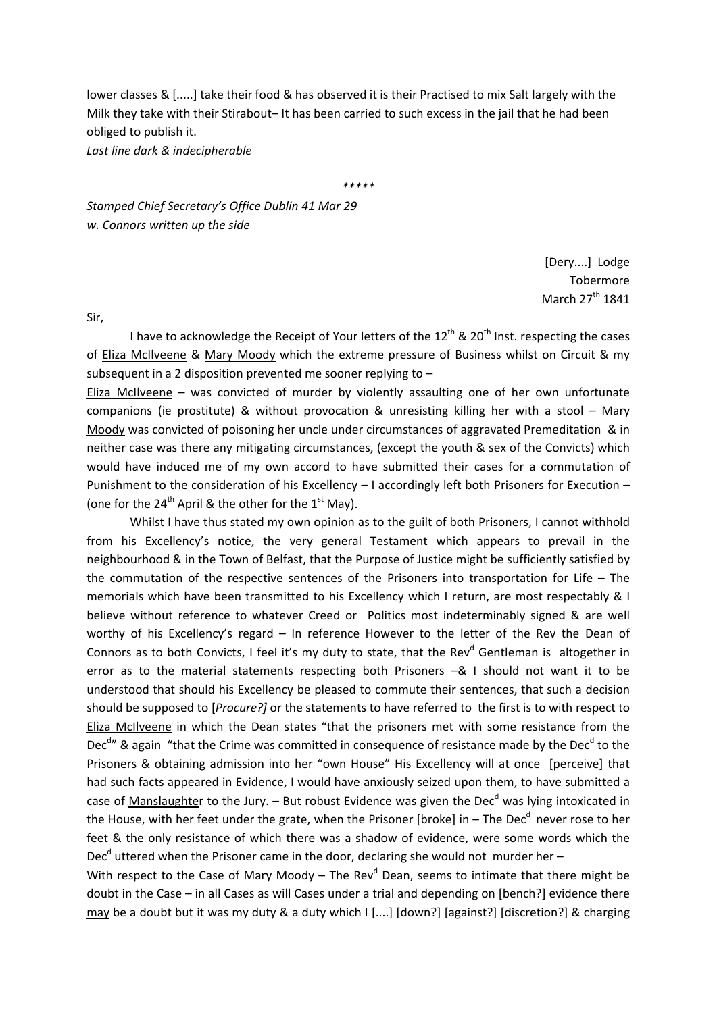lower classes & [.....] take their food & has observed it is their Practised to mix Salt largely with the Milk they take with their Stirabout– It has been carried to such excess in the jail that he had been obliged to publish it.

*Last line dark & indecipherable*

*\*\*\*\*\**

*Stamped Chief Secretary's Office Dublin 41 Mar 29 w. Connors written up the side*

> [Dery....] Lodge Tobermore March 27<sup>th</sup> 1841

Sir,

I have to acknowledge the Receipt of Your letters of the  $12<sup>th</sup>$  &  $20<sup>th</sup>$  Inst. respecting the cases of Eliza McIlveene & Mary Moody which the extreme pressure of Business whilst on Circuit & my subsequent in a 2 disposition prevented me sooner replying to –

Eliza McIlveene – was convicted of murder by violently assaulting one of her own unfortunate companions (ie prostitute) & without provocation & unresisting killing her with a stool – Mary Moody was convicted of poisoning her uncle under circumstances of aggravated Premeditation & in neither case was there any mitigating circumstances, (except the youth & sex of the Convicts) which would have induced me of my own accord to have submitted their cases for a commutation of Punishment to the consideration of his Excellency – I accordingly left both Prisoners for Execution – (one for the 24<sup>th</sup> April & the other for the  $1<sup>st</sup>$  May).

Whilst I have thus stated my own opinion as to the guilt of both Prisoners, I cannot withhold from his Excellency's notice, the very general Testament which appears to prevail in the neighbourhood & in the Town of Belfast, that the Purpose of Justice might be sufficiently satisfied by the commutation of the respective sentences of the Prisoners into transportation for Life – The memorials which have been transmitted to his Excellency which I return, are most respectably & I believe without reference to whatever Creed or Politics most indeterminably signed & are well worthy of his Excellency's regard – In reference However to the letter of the Rev the Dean of Connors as to both Convicts, I feel it's my duty to state, that the Rev<sup>d</sup> Gentleman is altogether in error as to the material statements respecting both Prisoners –& I should not want it to be understood that should his Excellency be pleased to commute their sentences, that such a decision should be supposed to [*Procure?]* or the statements to have referred to the first is to with respect to Eliza McIlveene in which the Dean states "that the prisoners met with some resistance from the Dec<sup>d</sup>" & again "that the Crime was committed in consequence of resistance made by the Dec<sup>d</sup> to the Prisoners & obtaining admission into her "own House" His Excellency will at once [perceive] that had such facts appeared in Evidence, I would have anxiously seized upon them, to have submitted a case of Manslaughter to the Jury. – But robust Evidence was given the Dec<sup>d</sup> was lying intoxicated in the House, with her feet under the grate, when the Prisoner [broke] in  $-$  The Dec<sup>d</sup> never rose to her feet & the only resistance of which there was a shadow of evidence, were some words which the Dec<sup>d</sup> uttered when the Prisoner came in the door, declaring she would not murder her –

With respect to the Case of Mary Moody – The Rev<sup>d</sup> Dean, seems to intimate that there might be doubt in the Case – in all Cases as will Cases under a trial and depending on [bench?] evidence there may be a doubt but it was my duty & a duty which I [....] [down?] [against?] [discretion?] & charging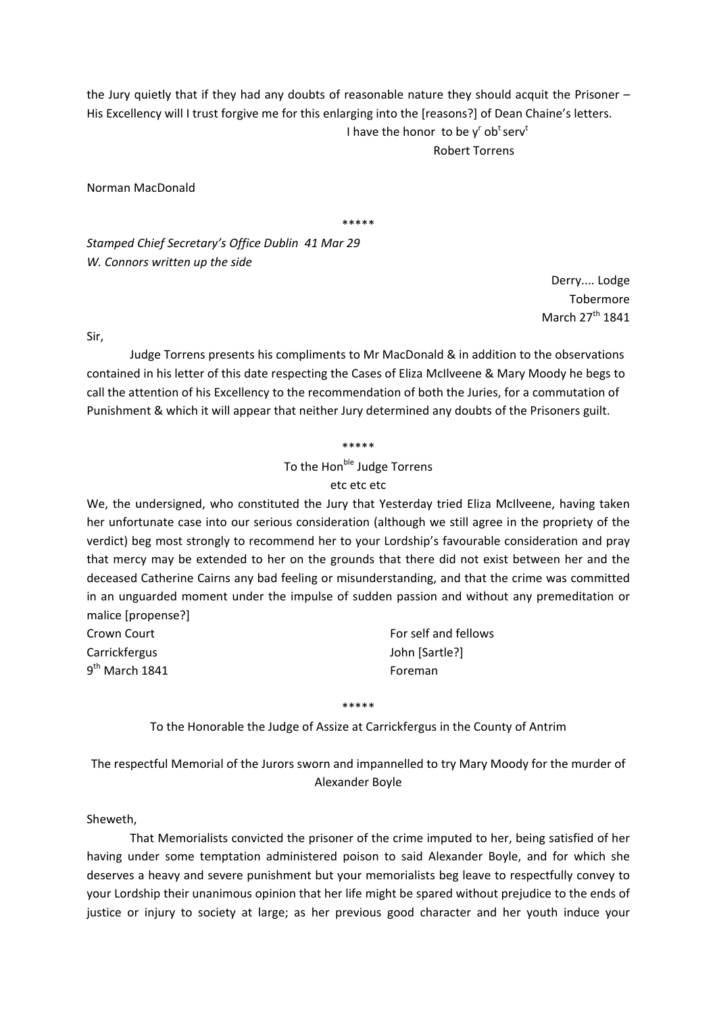the Jury quietly that if they had any doubts of reasonable nature they should acquit the Prisoner – His Excellency will I trust forgive me for this enlarging into the [reasons?] of Dean Chaine's letters. I have the honor to be  $y^r$  ob<sup>t</sup> serv<sup>t</sup> Robert Torrens

Norman MacDonald

\*\*\*\*\*

*Stamped Chief Secretary's Office Dublin 41 Mar 29 W. Connors written up the side*

> Derry.... Lodge Tobermore March 27<sup>th</sup> 1841

Sir,

Judge Torrens presents his compliments to Mr MacDonald & in addition to the observations contained in his letter of this date respecting the Cases of Eliza McIlveene & Mary Moody he begs to call the attention of his Excellency to the recommendation of both the Juries, for a commutation of Punishment & which it will appear that neither Jury determined any doubts of the Prisoners guilt.

\*\*\*\*\*

To the Hon<sup>ble</sup> Judge Torrens

# etc etc etc

We, the undersigned, who constituted the Jury that Yesterday tried Eliza McIlveene, having taken her unfortunate case into our serious consideration (although we still agree in the propriety of the verdict) beg most strongly to recommend her to your Lordship's favourable consideration and pray that mercy may be extended to her on the grounds that there did not exist between her and the deceased Catherine Cairns any bad feeling or misunderstanding, and that the crime was committed in an unguarded moment under the impulse of sudden passion and without any premeditation or malice [propense?]

| Crown Court                | For self and fellows |
|----------------------------|----------------------|
| Carrickfergus              | John [Sartle?]       |
| 9 <sup>th</sup> March 1841 | Foreman              |

\*\*\*\*\*

To the Honorable the Judge of Assize at Carrickfergus in the County of Antrim

The respectful Memorial of the Jurors sworn and impannelled to try Mary Moody for the murder of Alexander Boyle

Sheweth,

That Memorialists convicted the prisoner of the crime imputed to her, being satisfied of her having under some temptation administered poison to said Alexander Boyle, and for which she deserves a heavy and severe punishment but your memorialists beg leave to respectfully convey to your Lordship their unanimous opinion that her life might be spared without prejudice to the ends of justice or injury to society at large; as her previous good character and her youth induce your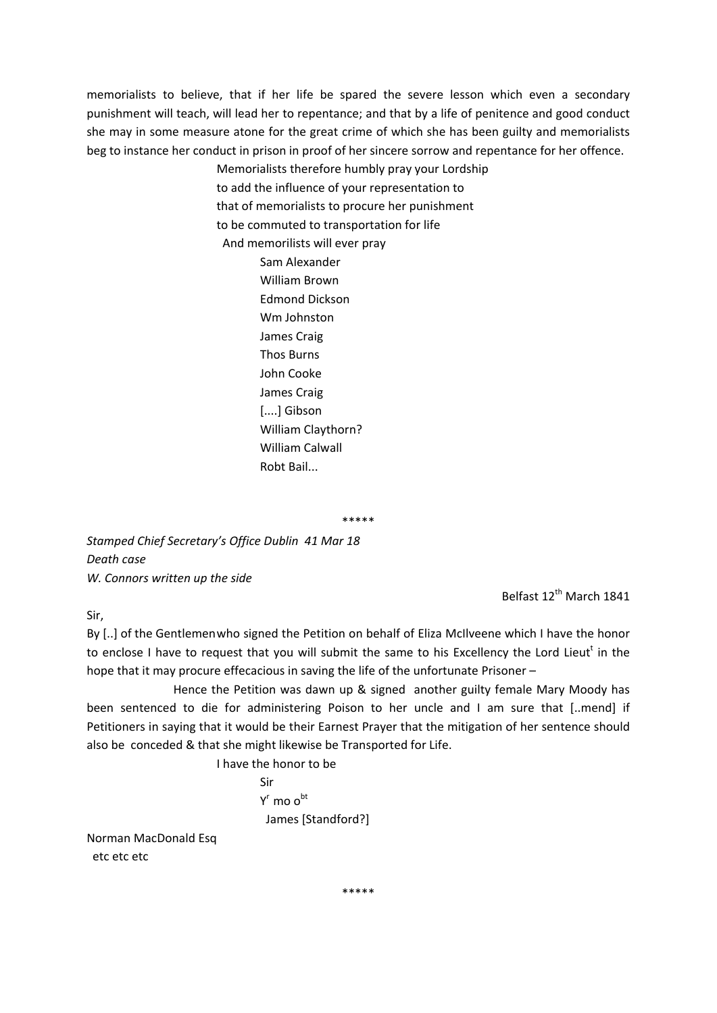memorialists to believe, that if her life be spared the severe lesson which even a secondary punishment will teach, will lead her to repentance; and that by a life of penitence and good conduct she may in some measure atone for the great crime of which she has been guilty and memorialists beg to instance her conduct in prison in proof of her sincere sorrow and repentance for her offence.

Memorialists therefore humbly pray your Lordship

to add the influence of your representation to

that of memorialists to procure her punishment

to be commuted to transportation for life

And memorilists will ever pray

 Sam Alexander William Brown Edmond Dickson Wm Johnston James Craig Thos Burns John Cooke James Craig [....] Gibson William Claythorn? William Calwall Robt Bail...

\*\*\*\*\*

*Stamped Chief Secretary's Office Dublin 41 Mar 18 Death case W. Connors written up the side*

Belfast 12<sup>th</sup> March 1841

Sir,

By [..] of the Gentlemenwho signed the Petition on behalf of Eliza McIlveene which I have the honor to enclose I have to request that you will submit the same to his Excellency the Lord Lieutt in the hope that it may procure effecacious in saving the life of the unfortunate Prisoner –

 Hence the Petition was dawn up & signed another guilty female Mary Moody has been sentenced to die for administering Poison to her uncle and I am sure that [..mend] if Petitioners in saying that it would be their Earnest Prayer that the mitigation of her sentence should also be conceded & that she might likewise be Transported for Life.

I have the honor to be

 Sir  $Y<sup>r</sup>$  mo  $o<sup>bt</sup>$ James [Standford?]

Norman MacDonald Esq etc etc etc

\*\*\*\*\*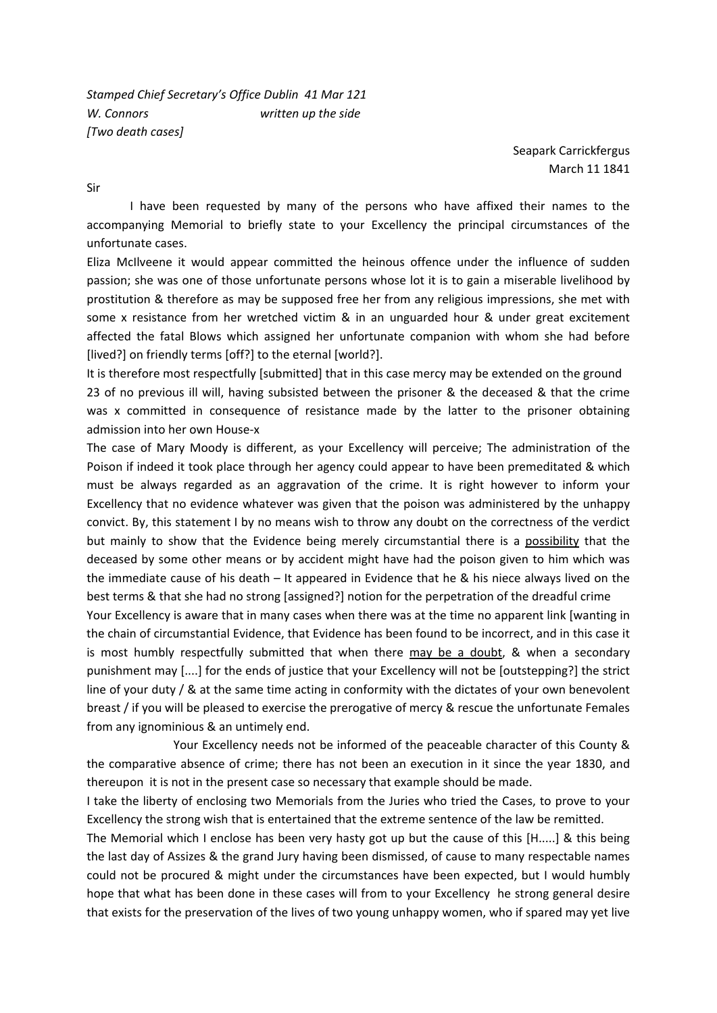*Stamped Chief Secretary's Office Dublin 41 Mar 121 W. Connors written up the side [Two death cases]*

> Seapark Carrickfergus March 11 1841

Sir

I have been requested by many of the persons who have affixed their names to the accompanying Memorial to briefly state to your Excellency the principal circumstances of the unfortunate cases.

Eliza McIlveene it would appear committed the heinous offence under the influence of sudden passion; she was one of those unfortunate persons whose lot it is to gain a miserable livelihood by prostitution & therefore as may be supposed free her from any religious impressions, she met with some x resistance from her wretched victim & in an unguarded hour & under great excitement affected the fatal Blows which assigned her unfortunate companion with whom she had before [lived?] on friendly terms [off?] to the eternal [world?].

It is therefore most respectfully [submitted] that in this case mercy may be extended on the ground 23 of no previous ill will, having subsisted between the prisoner & the deceased & that the crime was x committed in consequence of resistance made by the latter to the prisoner obtaining admission into her own House‐x

The case of Mary Moody is different, as your Excellency will perceive; The administration of the Poison if indeed it took place through her agency could appear to have been premeditated & which must be always regarded as an aggravation of the crime. It is right however to inform your Excellency that no evidence whatever was given that the poison was administered by the unhappy convict. By, this statement I by no means wish to throw any doubt on the correctness of the verdict but mainly to show that the Evidence being merely circumstantial there is a possibility that the deceased by some other means or by accident might have had the poison given to him which was the immediate cause of his death – It appeared in Evidence that he & his niece always lived on the best terms & that she had no strong [assigned?] notion for the perpetration of the dreadful crime

Your Excellency is aware that in many cases when there was at the time no apparent link [wanting in the chain of circumstantial Evidence, that Evidence has been found to be incorrect, and in this case it is most humbly respectfully submitted that when there may be a doubt, & when a secondary punishment may [....] for the ends of justice that your Excellency will not be [outstepping?] the strict line of your duty / & at the same time acting in conformity with the dictates of your own benevolent breast / if you will be pleased to exercise the prerogative of mercy & rescue the unfortunate Females from any ignominious & an untimely end.

 Your Excellency needs not be informed of the peaceable character of this County & the comparative absence of crime; there has not been an execution in it since the year 1830, and thereupon it is not in the present case so necessary that example should be made.

I take the liberty of enclosing two Memorials from the Juries who tried the Cases, to prove to your Excellency the strong wish that is entertained that the extreme sentence of the law be remitted.

The Memorial which I enclose has been very hasty got up but the cause of this [H.....] & this being the last day of Assizes & the grand Jury having been dismissed, of cause to many respectable names could not be procured & might under the circumstances have been expected, but I would humbly hope that what has been done in these cases will from to your Excellency he strong general desire that exists for the preservation of the lives of two young unhappy women, who if spared may yet live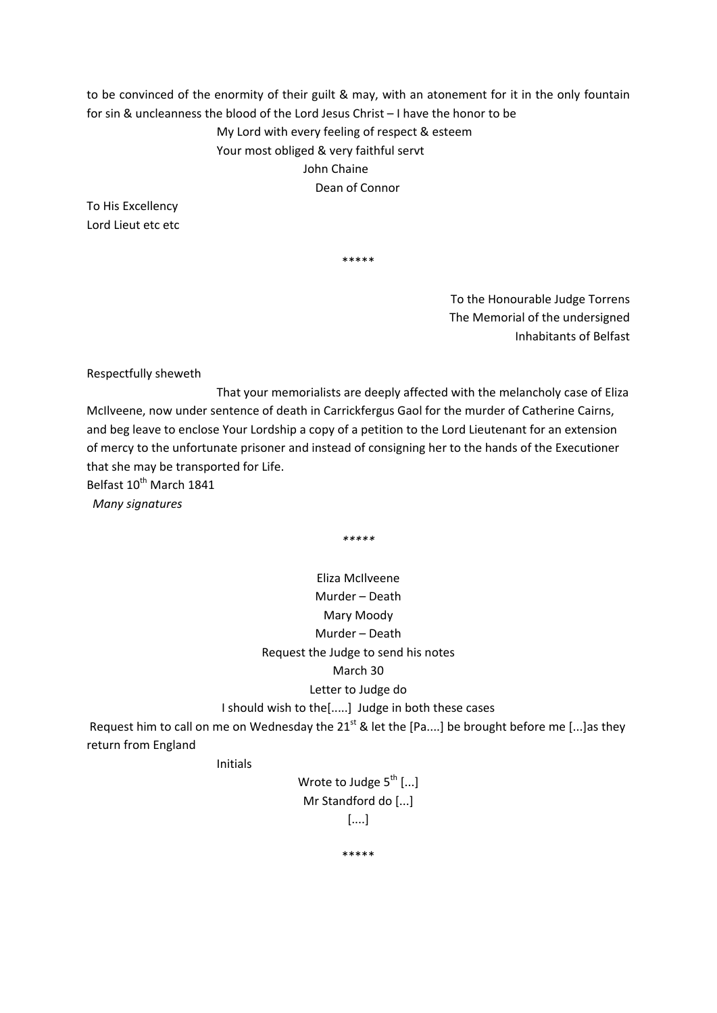to be convinced of the enormity of their guilt & may, with an atonement for it in the only fountain for sin & uncleanness the blood of the Lord Jesus Christ – I have the honor to be My Lord with every feeling of respect & esteem Your most obliged & very faithful servt John Chaine Dean of Connor

To His Excellency Lord Lieut etc etc

\*\*\*\*\*

To the Honourable Judge Torrens The Memorial of the undersigned Inhabitants of Belfast

Respectfully sheweth

 That your memorialists are deeply affected with the melancholy case of Eliza McIlveene, now under sentence of death in Carrickfergus Gaol for the murder of Catherine Cairns, and beg leave to enclose Your Lordship a copy of a petition to the Lord Lieutenant for an extension of mercy to the unfortunate prisoner and instead of consigning her to the hands of the Executioner that she may be transported for Life.

Belfast 10<sup>th</sup> March 1841

*Many signatures*

*\*\*\*\*\**

Eliza McIlveene Murder – Death Mary Moody Murder – Death Request the Judge to send his notes March 30 Letter to Judge do

I should wish to the[.....] Judge in both these cases

Request him to call on me on Wednesday the 21<sup>st</sup> & let the [Pa....] be brought before me [...] as they return from England

Initials

Wrote to Judge  $5^{th}$  [...] Mr Standford do [...] [....]

\*\*\*\*\*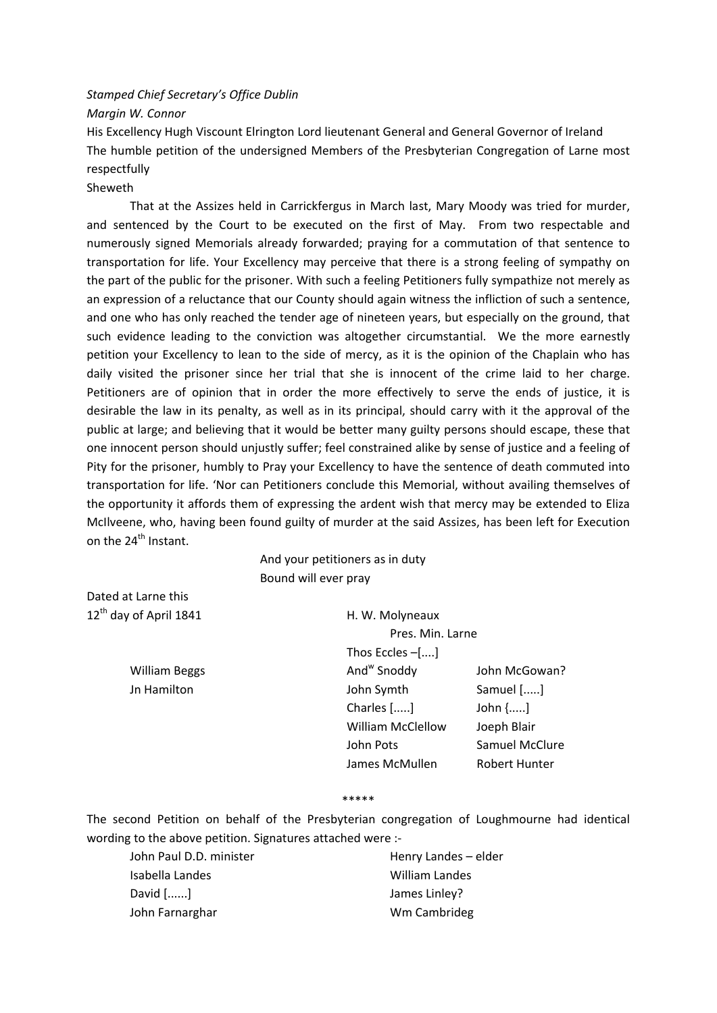# *Stamped Chief Secretary's Office Dublin*

*Margin W. Connor*

His Excellency Hugh Viscount Elrington Lord lieutenant General and General Governor of Ireland The humble petition of the undersigned Members of the Presbyterian Congregation of Larne most respectfully

## Sheweth

That at the Assizes held in Carrickfergus in March last, Mary Moody was tried for murder, and sentenced by the Court to be executed on the first of May. From two respectable and numerously signed Memorials already forwarded; praying for a commutation of that sentence to transportation for life. Your Excellency may perceive that there is a strong feeling of sympathy on the part of the public for the prisoner. With such a feeling Petitioners fully sympathize not merely as an expression of a reluctance that our County should again witness the infliction of such a sentence, and one who has only reached the tender age of nineteen years, but especially on the ground, that such evidence leading to the conviction was altogether circumstantial. We the more earnestly petition your Excellency to lean to the side of mercy, as it is the opinion of the Chaplain who has daily visited the prisoner since her trial that she is innocent of the crime laid to her charge. Petitioners are of opinion that in order the more effectively to serve the ends of justice, it is desirable the law in its penalty, as well as in its principal, should carry with it the approval of the public at large; and believing that it would be better many guilty persons should escape, these that one innocent person should unjustly suffer; feel constrained alike by sense of justice and a feeling of Pity for the prisoner, humbly to Pray your Excellency to have the sentence of death commuted into transportation for life. 'Nor can Petitioners conclude this Memorial, without availing themselves of the opportunity it affords them of expressing the ardent wish that mercy may be extended to Eliza McIlveene, who, having been found guilty of murder at the said Assizes, has been left for Execution on the 24<sup>th</sup> Instant.

|                                    | And your petitioners as in duty |                      |
|------------------------------------|---------------------------------|----------------------|
|                                    | Bound will ever pray            |                      |
| Dated at Larne this                |                                 |                      |
| 12 <sup>th</sup> day of April 1841 | H. W. Molyneaux                 |                      |
|                                    | Pres. Min. Larne                |                      |
|                                    | Thos Eccles $-[]$               |                      |
| <b>William Beggs</b>               | And <sup>w</sup> Snoddy         | John McGowan?        |
| Jn Hamilton                        | John Symth                      | Samuel []            |
|                                    | Charles []                      | John $\{\}$          |
|                                    | <b>William McClellow</b>        | Joeph Blair          |
|                                    | John Pots                       | Samuel McClure       |
|                                    | James McMullen                  | <b>Robert Hunter</b> |

#### \*\*\*\*\*

The second Petition on behalf of the Presbyterian congregation of Loughmourne had identical wording to the above petition. Signatures attached were :‐

John Paul D.D. minister **Baul Election** Henry Landes – elder Isabella Landes William Landes David [......] David [......] John Farnarghar **Mateural Exception Cambrideg Wm Cambrideg**